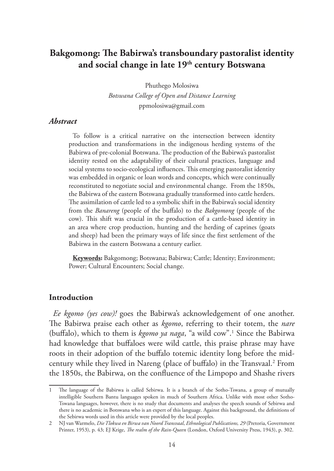# **Bakgomong: The Babirwa's transboundary pastoralist identity and social change in late 19th century Botswana**

Phuthego Molosiwa

*Botswana College of Open and Distance Learning* ppmolosiwa@gmail.com

### *Abstract*

To follow is a critical narrative on the intersection between identity production and transformations in the indigenous herding systems of the Babirwa of pre-colonial Botswana. The production of the Babirwa's pastoralist identity rested on the adaptability of their cultural practices, language and social systems to socio-ecological influences. This emerging pastoralist identity was embedded in organic or loan words and concepts, which were continually reconstituted to negotiate social and environmental change. From the 1850s, the Babirwa of the eastern Botswana gradually transformed into cattle herders. The assimilation of cattle led to a symbolic shift in the Babirwa's social identity from the *Banareng* (people of the buffalo) to the *Bakgomong* (people of the cow). This shift was crucial in the production of a cattle-based identity in an area where crop production, hunting and the herding of caprines (goats and sheep) had been the primary ways of life since the first settlement of the Babirwa in the eastern Botswana a century earlier.

**Keywords:** Bakgomong; Botswana; Babirwa; Cattle; Identity; Environment; Power; Cultural Encounters; Social change.

#### **Introduction**

*Ee kgomo (yes cow)!* goes the Babirwa's acknowledgement of one another. The Babirwa praise each other as *kgomo*, referring to their totem, the *nare* (buffalo), which to them is *kgomo ya naga*, "a wild cow".1 Since the Babirwa had knowledge that buffaloes were wild cattle, this praise phrase may have roots in their adoption of the buffalo totemic identity long before the midcentury while they lived in Nareng (place of buffalo) in the Transvaal.<sup>2</sup> From the 1850s, the Babirwa, on the confluence of the Limpopo and Shashe rivers

<sup>1</sup> The language of the Babirwa is called Sebirwa. It is a branch of the Sotho-Tswana, a group of mutually intelligible Southern Bantu languages spoken in much of Southern Africa. Unlike with most other Sotho-Tswana languages, however, there is no study that documents and analyses the speech sounds of Sebirwa and there is no academic in Botswana who is an expert of this language. Against this background, the definitions of the Sebirwa words used in this article were provided by the local peoples.

<sup>2</sup> NJ van Warmelo, *Die Tlokwa en Birwa van Noord Transvaal*, *Ethnological Publications, 29* (Pretoria, Government Printer, 1953), p. 43; EJ Krige, *The realm of the Rain-Queen* (London, Oxford University Press, 1943), p. 302.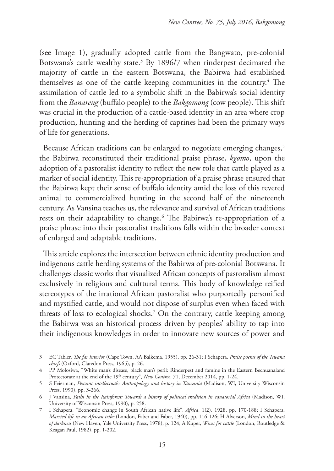(see Image 1), gradually adopted cattle from the Bangwato, pre-colonial Botswana's cattle wealthy state.<sup>3</sup> By 1896/7 when rinderpest decimated the majority of cattle in the eastern Botswana, the Babirwa had established themselves as one of the cattle keeping communities in the country.<sup>4</sup> The assimilation of cattle led to a symbolic shift in the Babirwa's social identity from the *Banareng* (buffalo people) to the *Bakgomong* (cow people). This shift was crucial in the production of a cattle-based identity in an area where crop production, hunting and the herding of caprines had been the primary ways of life for generations.

Because African traditions can be enlarged to negotiate emerging changes,<sup>5</sup> the Babirwa reconstituted their traditional praise phrase, *kgomo*, upon the adoption of a pastoralist identity to reflect the new role that cattle played as a marker of social identity. This re-appropriation of a praise phrase ensured that the Babirwa kept their sense of buffalo identity amid the loss of this revered animal to commercialized hunting in the second half of the nineteenth century. As Vansina teaches us, the relevance and survival of African traditions rests on their adaptability to change.6 The Babirwa's re-appropriation of a praise phrase into their pastoralist traditions falls within the broader context of enlarged and adaptable traditions.

This article explores the intersection between ethnic identity production and indigenous cattle herding systems of the Babirwa of pre-colonial Botswana. It challenges classic works that visualized African concepts of pastoralism almost exclusively in religious and culttural terms. This body of knowledge reified stereotypes of the irrational African pastoralist who purportedly personified and mystified cattle, and would not dispose of surplus even when faced with threats of loss to ecological shocks.7 On the contrary, cattle keeping among the Babirwa was an historical process driven by peoples' ability to tap into their indigenous knowledges in order to innovate new sources of power and

<sup>3</sup> EC Tabler, *The far interior* (Cape Town, AA Balkema, 1955), pp. 26-31; I Schapera, *Praise poems of the Tswana chiefs* (Oxford, Claredon Press, 1965), p. 26.

<sup>4</sup> PP Molosiwa, "White man's disease, black man's peril: Rinderpest and famine in the Eastern Bechuanaland Protectorate at the end of the 19<sup>th</sup> century", *New Contree*, 71, December 2014, pp. 1-24.

<sup>5</sup> S Feierman, *Peasant intellectuals: Anthropology and history in Tanzania* (Madison, WI, University Wisconsin Press, 1990), pp. 3-266.

<sup>6</sup> J Vansina, *Paths in the Rainforest: Towards a history of political tradition in equatorial Africa* (Madison, WI, University of Wisconsin Press, 1990), p. 258.

<sup>7</sup> I Schapera, "Economic change in South African native life", *Africa*, 1(2), 1928, pp. 170-188; I Schapera, *Married life in an African tribe* (London, Faber and Faber, 1940), pp. 116-126; H Alverson, *Mind in the heart of darkness* (New Haven, Yale University Press, 1978), p. 124; A Kuper, *Wives for cattle* (London, Routledge & Keagan Paul, 1982), pp. 1-202.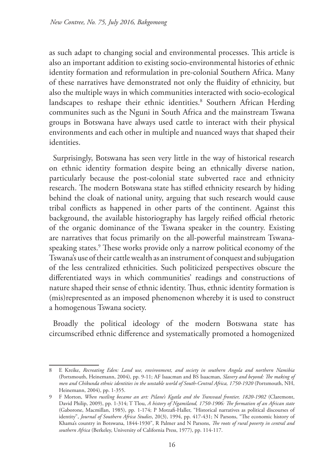as such adapt to changing social and environmental processes. This article is also an important addition to existing socio-environmental histories of ethnic identity formation and reformulation in pre-colonial Southern Africa. Many of these narratives have demonstrated not only the fluidity of ethnicity, but also the multiple ways in which communities interacted with socio-ecological landscapes to reshape their ethnic identities.<sup>8</sup> Southern African Herding communites such as the Nguni in South Africa and the mainstream Tswana groups in Botswana have always used cattle to interact with their physical environments and each other in multiple and nuanced ways that shaped their identities.

Surprisingly, Botswana has seen very little in the way of historical research on ethnic identity formation despite being an ethnically diverse nation, particularly because the post-colonial state subverted race and ethnicity research. The modern Botswana state has stifled ethnicity research by hiding behind the cloak of national unity, arguing that such research would cause tribal conflicts as happened in other parts of the continent. Against this background, the available historiography has largely reified official rhetoric of the organic dominance of the Tswana speaker in the country. Existing are narratives that focus primarily on the all-powerful mainstream Tswanaspeaking states.9 These works provide only a narrow political economy of the Tswana's use of their cattle wealth as an instrument of conquest and subjugation of the less centralized ethnicities. Such politicized perspectives obscure the differentiated ways in which communities' readings and constructions of nature shaped their sense of ethnic identity. Thus, ethnic identity formation is (mis)represented as an imposed phenomenon whereby it is used to construct a homogenous Tswana society.

Broadly the political ideology of the modern Botswana state has circumscribed ethnic difference and systematically promoted a homogenized

<sup>8</sup> E Kreike, *Recreating Eden: Land use, environment, and society in southern Angola and northern Namibia*  (Portsmouth, Heinemann, 2004), pp. 9-11; AF Isaacman and BS Isaacman, *Slavery and beyond: The making of men and Chikunda ethnic identities in the unstable world of South-Central Africa, 1750-1920* (Portsmouth, NH, Heinemann, 2004), pp. 1-355.

<sup>9</sup> F Morton, *When rustling became an art: Pilane's Kgatla and the Transvaal frontier, 1820-1902* (Claremont, David Philip, 2009), pp. 1-314; T Tlou, *A history of Ngamiland, 1750-1906: The formation of an African state*  (Gaborone, Macmillan, 1985), pp. 1-174; P Motzafi-Haller, "Historical narratives as political discourses of identity", *Journal of Southern Africa Studies*, 20(3), 1994, pp. 417-431; N Parsons, "The economic history of Khama's country in Botswana, 1844-1930", R Palmer and N Parsons, *The roots of rural poverty in central and southern Africa* (Berkeley, University of California Press, 1977), pp. 114-117.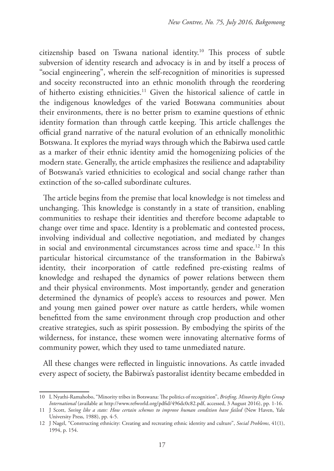citizenship based on Tswana national identity.10 This process of subtle subversion of identity research and advocacy is in and by itself a process of "social engineering", wherein the self-recognition of minorities is supressed and soceity reconstructed into an ethnic monolith through the reordering of hitherto existing ethnicities.11 Given the historical salience of cattle in the indigenous knowledges of the varied Botswana communities about their environments, there is no better prism to examine questions of ethnic identity formation than through cattle keeping. This article challenges the official grand narrative of the natural evolution of an ethnically monolithic Botswana. It explores the myriad ways through which the Babirwa used cattle as a marker of their ethnic identity amid the homogenizing policies of the modern state. Generally, the article emphasizes the resilience and adaptability of Botswana's varied ethnicities to ecological and social change rather than extinction of the so-called subordinate cultures.

The article begins from the premise that local knowledge is not timeless and unchanging. This knowledge is constantly in a state of transition, enabling communities to reshape their identities and therefore become adaptable to change over time and space. Identity is a problematic and contested process, involving individual and collective negotiation, and mediated by changes in social and environmental circumstances across time and space.12 In this particular historical circumstance of the transformation in the Babirwa's identity, their incorporation of cattle redefined pre-existing realms of knowledge and reshaped the dynamics of power relations between them and their physical environments. Most importantly, gender and generation determined the dynamics of people's access to resources and power. Men and young men gained power over nature as cattle herders, while women benefitted from the same environment through crop production and other creative strategies, such as spirit possession. By embodying the spirits of the wilderness, for instance, these women were innovating alternative forms of community power, which they used to tame unmediated nature.

All these changes were reflected in linguistic innovations. As cattle invaded every aspect of society, the Babirwa's pastoralist identity became embedded in

<sup>10</sup> L Nyathi-Ramahobo, "Minority tribes in Botswana: The politics of recognition", *Briefing, Minority Rights Group International* (available at http://www.refworld.org/pdfid/496dc0c82.pdf, accessed, 3 August 2016), pp. 1-16.

<sup>11</sup> J Scott, *Seeing like a state: How certain schemes to improve human condition have failed* (New Haven, Yale University Press, 1988), pp. 4-5.

<sup>12</sup> J Nagel, "Constructing ethnicity: Creating and recreating ethnic identity and culture", *Social Problems*, 41(1), 1994, p. 154.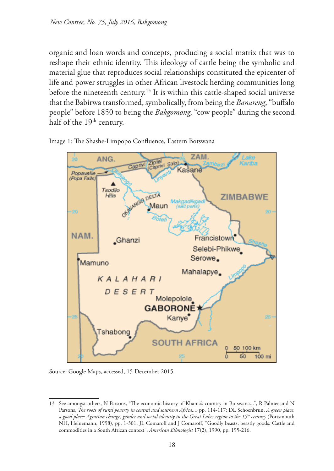organic and loan words and concepts, producing a social matrix that was to reshape their ethnic identity. This ideology of cattle being the symbolic and material glue that reproduces social relationships constituted the epicenter of life and power struggles in other African livestock herding communities long before the nineteenth century.<sup>13</sup> It is within this cattle-shaped social universe that the Babirwa transformed, symbolically, from being the *Banareng*, "buffalo people" before 1850 to being the *Bakgomong,* "cow people" during the second half of the 19<sup>th</sup> century.





Source: Google Maps, accessed, 15 December 2015.

<sup>13</sup> See amongst others, N Parsons, "The economic history of Khama's country in Botswana...", R Palmer and N Parsons, *The roots of rural poverty in central and southern Africa...,* pp. 114-117; DL Schoenbrun, *A green place, a good place: Agrarian change, gender and social identity in the Great Lakes region to the 15th century* (Portsmouth NH, Heinemann, 1998), pp. 1-301; JL Comaroff and J Comaroff, "Goodly beasts, beastly goods: Cattle and commodities in a South African context", *American Ethnologist* 17(2), 1990, pp. 195-216.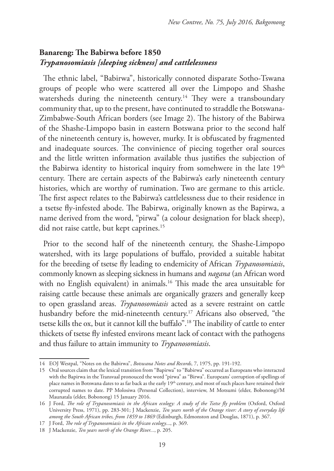## **Banareng: The Babirwa before 1850** *Trypanosomiasis [sleeping sickness] and cattlelessness*

The ethnic label, "Babirwa", historically connoted disparate Sotho-Tswana groups of people who were scattered all over the Limpopo and Shashe watersheds during the nineteenth century.<sup>14</sup> They were a transboundary community that, up to the present, have continuted to straddle the Botswana-Zimbabwe-South African borders (see Image 2). The history of the Babirwa of the Shashe-Limpopo basin in eastern Botswana prior to the second half of the nineteenth century is, however, murky. It is obfuscated by fragmented and inadequate sources. The convinience of piecing together oral sources and the little written information available thus justifies the subjection of the Babirwa identity to historical inquiry from somehwere in the late 19<sup>th</sup> century. There are certain aspects of the Babirwa's early nineteenth century histories, which are worthy of rumination. Two are germane to this article. The first aspect relates to the Babirwa's cattlelessness due to their residence in a tsetse fly-infested abode. The Babirwa, originally known as the Bapirwa, a name derived from the word, "pirwa" (a colour designation for black sheep), did not raise cattle, but kept caprines.<sup>15</sup>

Prior to the second half of the nineteenth century, the Shashe-Limpopo watershed, with its large populations of buffalo, provided a suitable habitat for the breeding of tsetse fly leading to endemicity of African *Trypanosomiasis*, commonly known as sleeping sickness in humans and *nagana* (an African word with no English equivalent) in animals.<sup>16</sup> This made the area unsuitable for raising cattle because these animals are organically grazers and generally keep to open grassland areas. *Trypanosomiasis* acted as a severe restraint on cattle husbandry before the mid-nineteenth century.<sup>17</sup> Africans also observed, "the tsetse kills the ox, but it cannot kill the buffalo".18 The inability of cattle to enter thickets of tsetse fly infested environs meant lack of contact with the pathogens and thus failure to attain immunity to *Trypanosomiasis*.

<sup>14</sup> EOJ Westpal, "Notes on the Babirwa", *Botswana Notes and Records*, 7, 1975, pp. 191-192.

<sup>15</sup> Oral sources claim that the lexical transition from "Bapirwa" to "Babirwa" occurred as Europeans who interacted with the Bapirwa in the Transvaal pronouced the word "pirwa" as "Birwa". Europeans' corruption of spellings of place names in Botswana dates to as far back as the early 19<sup>th</sup> century, and most of such places have retained their corrupted names to date. PP Molosiwa (Personal Collection), interview, M Motsumi (elder, Bobonong)/M Maunatala (elder, Bobonong) 15 January 2016.

<sup>16</sup> J Ford, *The role of Trypanosomiasis in the African ecology: A study of the Tsetse fly problem* (Oxford, Oxford University Press, 1971), pp. 283-301; J Mackenzie, *Ten years north of the Orange river: A story of everyday life among the South African tribes, from 1859 to 1869* (Edinburgh, Edmonston and Douglas, 1871), p. 367.

<sup>17</sup> J Ford, *The role of Trypanosomiasis in the African ecology*..., p. 369.

<sup>18</sup> J Mackenzie, *Ten years north of the Orange River...*, p. 205.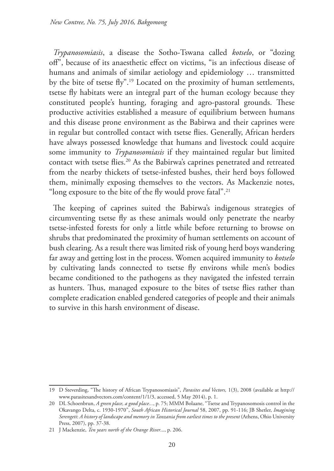*Trypanosomiasis*, a disease the Sotho-Tswana called *kotselo*, or "dozing off", because of its anaesthetic effect on victims, "is an infectious disease of humans and animals of similar aetiology and epidemiology … transmitted by the bite of tsetse fly".19 Located on the proximity of human settlements, tsetse fly habitats were an integral part of the human ecology because they constituted people's hunting, foraging and agro-pastoral grounds. These productive activities established a measure of equilibrium between humans and this disease prone environment as the Babirwa and their caprines were in regular but controlled contact with tsetse flies. Generally, African herders have always possessed knowledge that humans and livestock could acquire some immunity to *Trypanosomiasis* if they maintained regular but limited contact with tsetse flies.<sup>20</sup> As the Babirwa's caprines penetrated and retreated from the nearby thickets of tsetse-infested bushes, their herd boys followed them, minimally exposing themselves to the vectors. As Mackenzie notes, "long exposure to the bite of the fly would prove fatal".21

The keeping of caprines suited the Babirwa's indigenous strategies of circumventing tsetse fly as these animals would only penetrate the nearby tsetse-infested forests for only a little while before returning to browse on shrubs that predominated the proximity of human settlements on account of bush clearing. As a result there was limited risk of young herd boys wandering far away and getting lost in the process. Women acquired immunity to *kotselo* by cultivating lands connected to tsetse fly environs while men's bodies became conditioned to the pathogens as they navigated the infested terrain as hunters. Thus, managed exposure to the bites of tsetse flies rather than complete eradication enabled gendered categories of people and their animals to survive in this harsh environment of disease.

<sup>19</sup> D Steverding, "The history of African Trypanosomiasis", *Parasites and Vectors,* 1(3), 2008 (available at http:// www.parasitesandvectors.com/content/1/1/3, accessed, 5 May 2014), p. 1.

<sup>20</sup> DL Schoenbrun, *A green place, a good place...*, p. 75; MMM Bolaane, "Tsetse and Trypanosomosis control in the Okavango Delta, c. 1930-1970", *South African Historical Journal* 58, 2007, pp. 91-116; JB Shetler, *Imagining Serengeti*: *A history of landscape and memory in Tanzania from earliest times to the present* (Athens, Ohio University Press, 2007), pp. 37-38.

<sup>21</sup> J Mackenzie, *Ten years north of the Orange River*..., p. 206.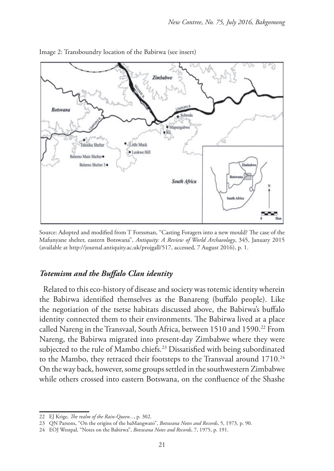

Image 2: Transboundry location of the Babirwa (see insert)

Source: Adopted and modified from T Forssman, "Casting Foragers into a new mould? The case of the Mafunyane shelter, eastern Botswana", *Antiquity: A Review of World Archaeology*, 345, January 2015 (available at http://journal.antiquity.ac.uk/projgall/517, accessed, 7 August 2016), p. 1.

#### *Totemism and the Buffalo Clan identity*

Related to this eco-history of disease and society was totemic identity wherein the Babirwa identified themselves as the Banareng (buffalo people). Like the negotiation of the tsetse habitats discussed above, the Babirwa's buffalo identity connected them to their environments. The Babirwa lived at a place called Nareng in the Transvaal, South Africa, between 1510 and 1590.<sup>22</sup> From Nareng, the Babirwa migrated into present-day Zimbabwe where they were subjected to the rule of Mambo chiefs.<sup>23</sup> Dissatisfied with being subordinated to the Mambo, they retraced their footsteps to the Transvaal around 1710.<sup>24</sup> On the way back, however, some groups settled in the southwestern Zimbabwe while others crossed into eastern Botswana, on the confluence of the Shashe

<sup>22</sup> EJ Krige, *The realm of the Rain-Queen...*, p. 302.

<sup>23</sup> QN Parsons, "On the origins of the baMangwato", *Botswana Notes and Records*, 5, 1973, p. 90.

<sup>24</sup> EOJ Westpal, "Notes on the Babirwa", *Botswana Notes and Records*, 7, 1975, p. 191.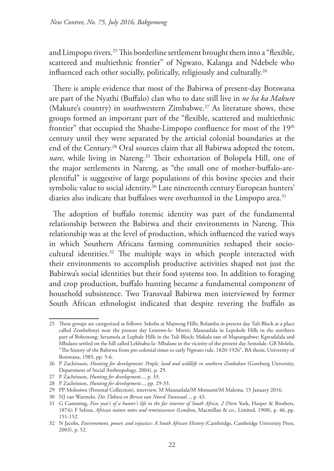and Limpopo rivers.<sup>25</sup> This borderline settlement brought them into a "flexible, scattered and multiethnic frontier" of Ngwato, Kalanga and Ndebele who influenced each other socially, politically, religiously and culturally.<sup>26</sup>

There is ample evidence that most of the Babirwa of present-day Botswana are part of the Nyathi (Buffalo) clan who to date still live in *ne ha ka Makure* (Makure's country) in southwestern Zimbabwe.<sup>27</sup> As literature shows, these groups formed an important part of the "flexible, scattered and multiethnic frontier" that occupied the Shashe-Limpopo confluence for most of the 19<sup>th</sup> century until they were separated by the articial colonial boundaries at the end of the Century.<sup>28</sup> Oral sources claim that all Babirwa adopted the totem, nare, while living in Nareng.<sup>29</sup> Their exhortation of Bolopela Hill, one of the major settlements in Nareng, as "the small one of mother-buffalo-areplentiful" is suggestive of large populations of this bovine species and their symbolic value to social identity.<sup>30</sup> Late nineteenth century European hunters' diaries also indicate that buffaloes were overhunted in the Limpopo area.<sup>31</sup>

The adoption of buffalo totemic identity was part of the fundamental relationship between the Babirwa and their environments in Nareng. This relationship was at the level of production, which influenced the varied ways in which Southern Africans farming communities reshaped their sociocultural identities.<sup>32</sup> The multiple ways in which people interacted with their environments to accomplish productive activities shaped not just the Babirwa's social identities but their food systems too. In addition to foraging and crop production, buffalo hunting became a fundamental component of household subsistence. Two Transvaal Babirwa men interviewed by former South African ethnologist indicated that despite revering the buffalo as

<sup>25</sup> These groups are categorized as follows: Sekoba at Majweng Hills; Bolamba in present day Tuli Block at a place called Zembefonyi near the present day Lentswe-le- Moriti; Maunatlala in Lepokole Hills in the northern part of Bobonong; Serumola at Lephale Hills in the Tuli Block; Makala east of Mapungubwe; Kgwadalala and Mbalane settled on the hill called Lekhubu-la- Mbalane in the vicinity of the present day Semolale. GB Molelu, "The history of the Babirwa from pre-colonial times to early Ngwato rule, 1820-1926", BA thesis, University of Botswana, 1985, pp. 5-6.

<sup>26</sup> P Zachrisson, *Hunting for development: People, land and wildlife in southern Zimbabwe* (Goteborg University, Department of Social Anthropology, 2004), p. 29.

<sup>27</sup> P Zachrisson, *Hunting for development*..., p. 33.

<sup>28</sup> P Zachrisson, *Hunting for development*..., pp. 29-33.

<sup>29</sup> PP Molosiwa (Personal Collection), interview, M Maunatlala/M Motsumi/M Malema, 15 January 2016.

<sup>30</sup> NJ van Warmelo, *Die Tlokwa en Birwa van Noord Transvaal...*, p. 43.

<sup>31</sup> G Cumming, *Five year's of a hunter's life in the far interior of South Africa, 2* (New York, Harper & Brothers, 1874); F Selous, *African nature notes and reminiscences* (London, Macmillan & co., Limited, 1908), p. 46, pp. 151-152.

<sup>32</sup> N Jacobs, *Environment, power, and injustice: A South African History* (Cambridge, Cambridge University Press, 2003), p. 52.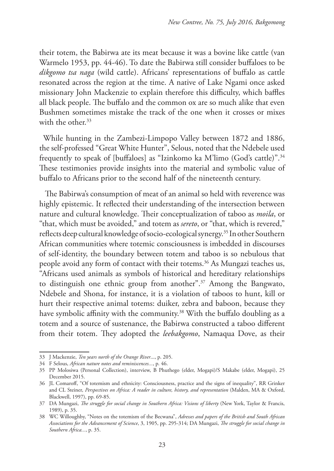their totem, the Babirwa ate its meat because it was a bovine like cattle (van Warmelo 1953, pp. 44-46). To date the Babirwa still consider buffaloes to be *dikgomo tsa naga* (wild cattle). Africans' representations of buffalo as cattle resonated across the region at the time. A native of Lake Ngami once asked missionary John Mackenzie to explain therefore this difficulty, which baffles all black people. The buffalo and the common ox are so much alike that even Bushmen sometimes mistake the track of the one when it crosses or mixes with the other.<sup>33</sup>

While hunting in the Zambezi-Limpopo Valley between 1872 and 1886, the self-professed "Great White Hunter", Selous, noted that the Ndebele used frequently to speak of [buffaloes] as "Izinkomo ka M'limo (God's cattle)".34 These testimonies provide insights into the material and symbolic value of buffalo to Africans prior to the second half of the nineteenth century.

 The Babirwa's consumption of meat of an animal so held with reverence was highly epistemic. It reflected their understanding of the intersection between nature and cultural knowledge. Their conceptualization of taboo as *moila*, or "that, which must be avoided," and totem as *sereto*, or "that, which is revered," reflects deep cultural knowledge of socio-ecological synergy.35 In other Southern African communities where totemic consciousness is imbedded in discourses of self-identity, the boundary between totem and taboo is so nebulous that people avoid any form of contact with their totems.<sup>36</sup> As Mungazi teaches us, "Africans used animals as symbols of historical and hereditary relationships to distinguish one ethnic group from another".37 Among the Bangwato, Ndebele and Shona, for instance, it is a violation of taboos to hunt, kill or hurt their respective animal totems: duiker, zebra and baboon, because they have symbolic affinity with the community.<sup>38</sup> With the buffalo doubling as a totem and a source of sustenance, the Babirwa constructed a taboo different from their totem. They adopted the *leebakgomo*, Namaqua Dove, as their

<sup>33</sup> J Mackenzie, *Ten years north of the Orange River*..., p. 205.

<sup>34</sup> F Selous, *African nature notes and reminiscences...*, p. 46.

<sup>35</sup> PP Molosiwa (Personal Collection), interview, B Phuthego (elder, Mogapi)/S Makabe (elder, Mogapi), 25 December 2015.

<sup>36</sup> JL Comaroff, "Of totemism and ethnicity: Consciousness, practice and the signs of inequality", RR Grinker and CL Steiner, *Perspectives on Africa: A reader in culture, history, and representation* (Malden, MA & Oxford, Blackwell, 1997), pp. 69-85.

<sup>37</sup> DA Mungazi, *The struggle for social change in Southern Africa: Visions of liberty* (New York, Taylor & Francis, 1989), p. 35.

<sup>38</sup> WC Willoughby, "Notes on the totemism of the Becwana", *Adresses and papers of the British and South African Associations for the Advancement of Science*, 3, 1905, pp. 295-314; DA Mungazi, *The struggle for social change in Southern Africa...*, p. 35.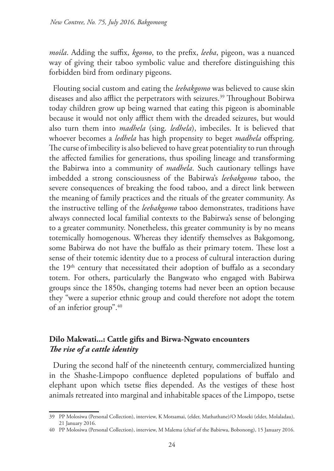*moila*. Adding the suffix, *kgomo*, to the prefix, *leeba*, pigeon, was a nuanced way of giving their taboo symbolic value and therefore distinguishing this forbidden bird from ordinary pigeons.

Flouting social custom and eating the *leebakgomo* was believed to cause skin diseases and also afflict the perpetrators with seizures.<sup>39</sup> Throughout Bobirwa today children grow up being warned that eating this pigeon is abominable because it would not only afflict them with the dreaded seizures, but would also turn them into *madhela* (sing. *ledhela*), imbeciles. It is believed that whoever becomes a *ledhela* has high propensity to beget *madhela* offspring. The curse of imbecility is also believed to have great potentiality to run through the affected families for generations, thus spoiling lineage and transforming the Babirwa into a community of *madhela*. Such cautionary tellings have imbedded a strong consciousness of the Babirwa's *leebakgomo* taboo, the severe consequences of breaking the food taboo, and a direct link between the meaning of family practices and the rituals of the greater community. As the instructive telling of the *leebakgomo* taboo demonstrates, traditions have always connected local familial contexts to the Babirwa's sense of belonging to a greater community. Nonetheless, this greater community is by no means totemically homogenous. Whereas they identify themselves as Bakgomong, some Babirwa do not have the buffalo as their primary totem. These lost a sense of their totemic identity due to a process of cultural interaction during the  $19<sup>th</sup>$  century that necessitated their adoption of buffalo as a secondary totem. For others, particularly the Bangwato who engaged with Babirwa groups since the 1850s, changing totems had never been an option because they "were a superior ethnic group and could therefore not adopt the totem of an inferior group".40

## **Dilo Makwati...: Cattle gifts and Birwa-Ngwato encounters** *The rise of a cattle identity*

During the second half of the nineteenth century, commercialized hunting in the Shashe-Limpopo confluence depleted populations of buffalo and elephant upon which tsetse flies depended. As the vestiges of these host animals retreated into marginal and inhabitable spaces of the Limpopo, tsetse

<sup>39</sup> PP Molosiwa (Personal Collection), interview, K Motsamai, (elder, Mathathane)/O Moseki (elder, Molaladau), 21 January 2016.

<sup>40</sup> PP Molosiwa (Personal Collection), interview, M Malema (chief of the Babirwa, Bobonong), 15 January 2016.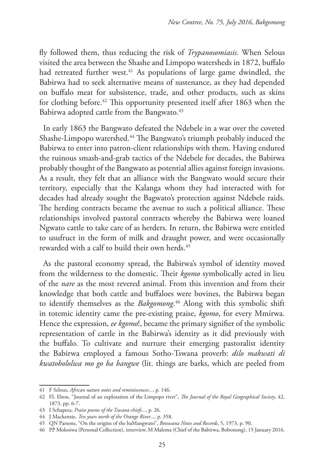fly followed them, thus reducing the risk of *Trypanosomiasis.* When Selous visited the area between the Shashe and Limpopo watersheds in 1872, buffalo had retreated further west.<sup>41</sup> As populations of large game dwindled, the Babirwa had to seek alternative means of sustenance, as they had depended on buffalo meat for subsistence, trade, and other products, such as skins for clothing before.<sup>42</sup> This opportunity presented itself after 1863 when the Babirwa adopted cattle from the Bangwato.<sup>43</sup>

In early 1863 the Bangwato defeated the Ndebele in a war over the coveted Shashe-Limpopo watershed.44 The Bangwato's triumph probably induced the Babirwa to enter into patron-client relationships with them. Having endured the ruinous smash-and-grab tactics of the Ndebele for decades, the Babirwa probably thought of the Bangwato as potential allies against foreign invasions. As a result, they felt that an alliance with the Bangwato would secure their territory, especially that the Kalanga whom they had interacted with for decades had already sought the Bagwato's protection against Ndebele raids. The herding contracts became the avenue to such a political alliance. These relationships involved pastoral contracts whereby the Babirwa were loaned Ngwato cattle to take care of as herders. In return, the Babirwa were entitled to usufruct in the form of milk and draught power, and were occasionally rewarded with a calf to build their own herds.<sup>45</sup>

As the pastoral economy spread, the Babirwa's symbol of identity moved from the wilderness to the domestic. Their *kgomo* symbolically acted in lieu of the *nare* as the most revered animal. From this invention and from their knowledge that both cattle and buffaloes were bovines, the Babirwa began to identify themselves as the *Bakgomong*. 46 Along with this symbolic shift in totemic identity came the pre-existing praise, *kgomo*, for every Mmirwa. Hence the expression, *ee kgomo*!, became the primary signifier of the symbolic representation of cattle in the Babirwa's identity as it did previously with the buffalo. To cultivate and nurture their emerging pastoralist identity the Babirwa employed a famous Sotho-Tswana proverb: *dilo makwati di kwatobololwa mo go ba bangwe* (lit. things are barks, which are peeled from

<sup>41</sup> F Selous, *African nature notes and reminiscences...*, p. 146.

<sup>42</sup> FL Elton, "Journal of an exploration of the Limpopo river", *The Journal of the Royal Geographical Society*, 42, 1873, pp. 6-7.

<sup>43</sup> I Schapera, *Praise poems of the Tswana chiefs...*, p. 26.

<sup>44</sup> J Mackenzie, *Ten years north of the Orange River*..., p. 358.

<sup>45</sup> QN Parsons, "On the origins of the baMangwato", *Botswana Notes and Records*, 5, 1973, p. 90.

<sup>46</sup> PP Molosiwa (Personal Collection), interview, M Malema (Chief of the Babirwa, Bobonong), 15 January 2016.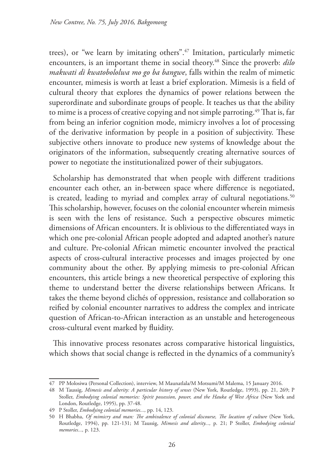trees), or "we learn by imitating others".47 Imitation, particularly mimetic encounters, is an important theme in social theory.48 Since the proverb: *dilo makwati di kwatobololwa mo go ba bangwe*, falls within the realm of mimetic encounter, mimesis is worth at least a brief exploration. Mimesis is a field of cultural theory that explores the dynamics of power relations between the superordinate and subordinate groups of people. It teaches us that the ability to mime is a process of creative copying and not simple parroting.<sup>49</sup> That is, far from being an inferior cognition mode, mimicry involves a lot of processing of the derivative information by people in a position of subjectivity. These subjective others innovate to produce new systems of knowledge about the originators of the information, subsequently creating alternative sources of power to negotiate the institutionalized power of their subjugators.

Scholarship has demonstrated that when people with different traditions encounter each other, an in-between space where difference is negotiated, is created, leading to myriad and complex array of cultural negotiations.<sup>50</sup> This scholarship, however, focuses on the colonial encounter wherein mimesis is seen with the lens of resistance. Such a perspective obscures mimetic dimensions of African encounters. It is oblivious to the differentiated ways in which one pre-colonial African people adopted and adapted another's nature and culture. Pre-colonial African mimetic encounter involved the practical aspects of cross-cultural interactive processes and images projected by one community about the other. By applying mimesis to pre-colonial African encounters, this article brings a new theoretical perspective of exploring this theme to understand better the diverse relationships between Africans. It takes the theme beyond clichés of oppression, resistance and collaboration so reified by colonial encounter narratives to address the complex and intricate question of African-to-African interaction as an unstable and heterogeneous cross-cultural event marked by fluidity.

This innovative process resonates across comparative historical linguistics, which shows that social change is reflected in the dynamics of a community's

<sup>47</sup> PP Molosiwa (Personal Collection), interview, M Maunatlala/M Motsumi/M Malema, 15 January 2016.

<sup>48</sup> M Taussig, *Mimesis and alterity: A particular history of senses* (New York, Routledge, 1993), pp. 21, 269; P Stoller, *Embodying colonial memories: Spirit possession, power, and the Hauka of West Africa* (New York and London, Routledge, 1995), pp. 37-48.

<sup>49</sup> P Stoller, *Embodying colonial memories...,* pp. 14, 123.

<sup>50</sup> H Bhabha, *Of mimicry and man: The ambivalence of colonial discourse, The location of culture* (New York, Routledge, 1994), pp. 121-131; M Taussig, *Mimesis and alterity...,* p. 21; P Stoller, *Embodying colonial memories...,* p. 123.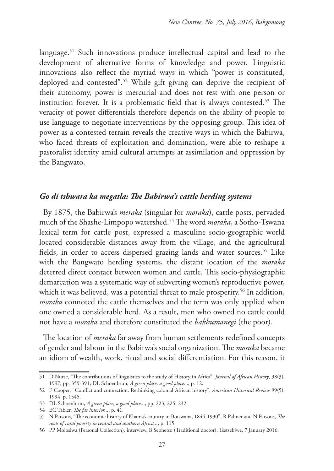language.51 Such innovations produce intellectual capital and lead to the development of alternative forms of knowledge and power. Linguistic innovations also reflect the myriad ways in which "power is constituted, deployed and contested".52 While gift giving can deprive the recipient of their autonomy, power is mercurial and does not rest with one person or institution forever. It is a problematic field that is always contested.53 The veracity of power differentials therefore depends on the ability of people to use language to negotiate interventions by the opposing group. This idea of power as a contested terrain reveals the creative ways in which the Babirwa, who faced threats of exploitation and domination, were able to reshape a pastoralist identity amid cultural attempts at assimilation and oppression by the Bangwato.

### *Go di tshwara ka megatla: The Babirwa's cattle herding systems*

By 1875, the Babirwa's *meraka* (singular for *moraka*), cattle posts, pervaded much of the Shashe-Limpopo watershed.54 The word *moraka*, a Sotho-Tswana lexical term for cattle post, expressed a masculine socio-geographic world located considerable distances away from the village, and the agricultural fields, in order to access dispersed grazing lands and water sources.<sup>55</sup> Like with the Bangwato herding systems, the distant location of the *moraka* deterred direct contact between women and cattle. This socio-physiographic demarcation was a systematic way of subverting women's reproductive power, which it was believed, was a potential threat to male prosperity.<sup>56</sup> In addition, *moraka* connoted the cattle themselves and the term was only applied when one owned a considerable herd. As a result, men who owned no cattle could not have a *moraka* and therefore constituted the *bakhumanegi* (the poor).

The location of *meraka* far away from human settlements redefined concepts of gender and labour in the Babirwa's social organization. The *moraka* became an idiom of wealth, work, ritual and social differentiation. For this reason, it

<sup>51</sup> D Nurse, "The contributions of linguistics to the study of History in Africa", *Journal of African History*, 38(3), 1997, pp. 359-391; DL Schoenbrun, *A green place, a good place*..., p. 12.

<sup>52</sup> F Cooper, "Conflict and connection: Rethinking colonial African history", *American Historical Review* 99(5), 1994, p. 1545.

<sup>53</sup> DL Schoenbrun, *A green place, a good place*..., pp. 223, 225, 232.

<sup>54</sup> EC Tabler, *The far interior...*, p. 41.

<sup>55</sup> N Parsons, "The economic history of Khama's country in Botswana, 1844-1930", R Palmer and N Parsons, *The roots of rural poverty in central and southern Africa...*, p. 115.

<sup>56</sup> PP Molosiwa (Personal Collection), interview, B Sephetso (Traditional doctor), Tsetsebjwe, 7 January 2016.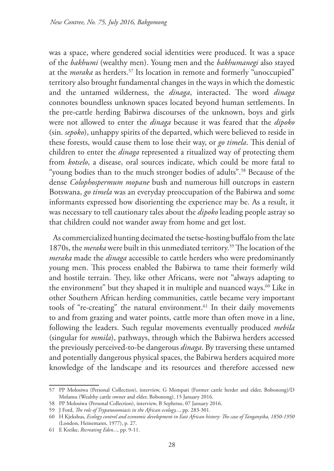was a space, where gendered social identities were produced. It was a space of the *bakhumi* (wealthy men). Young men and the *bakhumanegi* also stayed at the *moraka* as herders.<sup>57</sup> Its location in remote and formerly "unoccupied" territory also brought fundamental changes in the ways in which the domestic and the untamed wilderness, the *dinaga*, interacted. The word *dinaga*  connotes boundless unknown spaces located beyond human settlements. In the pre-cattle herding Babirwa discourses of the unknown, boys and girls were not allowed to enter the *dinaga* because it was feared that the *dipoko*  (sin. *sepoko*), unhappy spirits of the departed, which were believed to reside in these forests, would cause them to lose their way, or *go timela*. This denial of children to enter the *dinaga* represented a ritualized way of protecting them from *kotselo*, a disease, oral sources indicate, which could be more fatal to "young bodies than to the much stronger bodies of adults".58 Because of the dense *Colophospermum mopane* bush and numerous hill outcrops in eastern Botswana, *go timela* was an everyday preoccupation of the Babirwa and some informants expressed how disorienting the experience may be. As a result, it was necessary to tell cautionary tales about the *dipoko* leading people astray so that children could not wander away from home and get lost.

As commercialized hunting decimated the tsetse-hosting buffalo from the late 1870s, the *meraka* were built in this unmediated territory.59 The location of the *meraka* made the *dinaga* accessible to cattle herders who were predominantly young men. This process enabled the Babirwa to tame their formerly wild and hostile terrain. They, like other Africans, were not "always adapting to the environment" but they shaped it in multiple and nuanced ways.<sup>60</sup> Like in other Southern African herding communities, cattle became very important tools of "re-creating" the natural environment.<sup>61</sup> In their daily movements to and from grazing and water points, cattle more than often move in a line, following the leaders. Such regular movements eventually produced *mebila* (singular for *mmila*), pathways, through which the Babirwa herders accessed the previously perceived-to-be dangerous *dinaga*. By traversing these untamed and potentially dangerous physical spaces, the Babirwa herders acquired more knowledge of the landscape and its resources and therefore accessed new

<sup>57</sup> PP Molosiwa (Personal Collection), interview, G Mompati (Former cattle herder and elder, Bobonong)/D Molamu (Wealthy cattle owner and elder, Bobonong), 15 January 2016.

<sup>58</sup> PP Molosiwa (Personal Collection), interview, B Sephetso, 07 January 2016.

<sup>59</sup> J Ford, *The role of Trypanosomiasis in the African ecology...*, pp. 283-301.

<sup>60</sup> H Kjekshus, *Ecology control and economic development in East African history: The case of Tanganyika, 1850-1950* (London, Heinemann, 1977), p. 27.

<sup>61</sup> E Kreike, *Recreating Eden...,* pp. 9-11.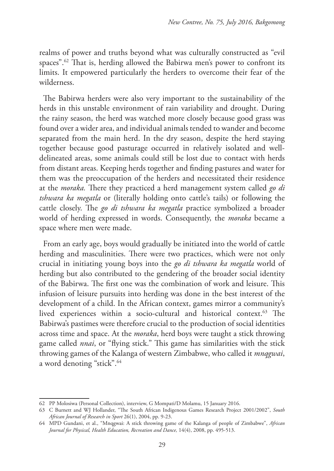realms of power and truths beyond what was culturally constructed as "evil spaces".<sup>62</sup> That is, herding allowed the Babirwa men's power to confront its limits. It empowered particularly the herders to overcome their fear of the wilderness.

The Babirwa herders were also very important to the sustainability of the herds in this unstable environment of rain variability and drought. During the rainy season, the herd was watched more closely because good grass was found over a wider area, and individual animals tended to wander and become separated from the main herd. In the dry season, despite the herd staying together because good pasturage occurred in relatively isolated and welldelineated areas, some animals could still be lost due to contact with herds from distant areas. Keeping herds together and finding pastures and water for them was the preoccupation of the herders and necessitated their residence at the *moraka.* There they practiced a herd management system called *go di tshwara ka megatla* or (literally holding onto cattle's tails) or following the cattle closely. The *go di tshwara ka megatla* practice symbolized a broader world of herding expressed in words. Consequently, the *moraka* became a space where men were made.

From an early age, boys would gradually be initiated into the world of cattle herding and masculinities. There were two practices, which were not only crucial in initiating young boys into the *go di tshwara ka megatla* world of herding but also contributed to the gendering of the broader social identity of the Babirwa. The first one was the combination of work and leisure. This infusion of leisure pursuits into herding was done in the best interest of the development of a child. In the African context, games mirror a community's lived experiences within a socio-cultural and historical context.<sup>63</sup> The Babirwa's pastimes were therefore crucial to the production of social identities across time and space. At the *moraka*, herd boys were taught a stick throwing game called *nnai*, or "flying stick." This game has similarities with the stick throwing games of the Kalanga of western Zimbabwe, who called it *mnqgwai*, a word denoting "stick".64

<sup>62</sup> PP Molosiwa (Personal Collection), interview, G Mompati/D Molamu, 15 January 2016.

<sup>63</sup> C Burnett and WJ Hollander, "The South African Indigenous Games Research Project 2001/2002", *South African Journal of Research in Sport* 26(1), 2004, pp. 9-23.

<sup>64</sup> MPD Gundani, et al., "Mnqgwai: A stick throwing game of the Kalanga of people of Zimbabwe", *African Journal for Physical, Health Education, Recreation and Dance,* 14(4), 2008, pp. 495-513.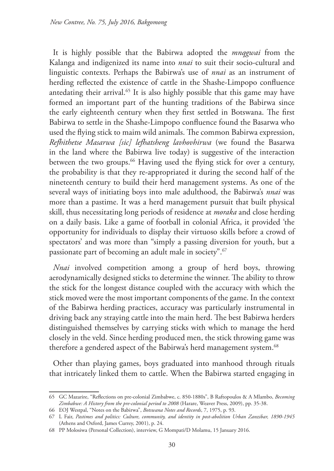It is highly possible that the Babirwa adopted the *mnqgwai* from the Kalanga and indigenized its name into *nnai* to suit their socio-cultural and linguistic contexts. Perhaps the Babirwa's use of *nnai* as an instrument of herding reflected the existence of cattle in the Shashe-Limpopo confluence antedating their arrival.<sup>65</sup> It is also highly possible that this game may have formed an important part of the hunting traditions of the Babirwa since the early eighteenth century when they first settled in Botswana. The first Babirwa to settle in the Shashe-Limpopo confluence found the Basarwa who used the flying stick to maim wild animals. The common Babirwa expression, *Refhithetse Masarwa [sic] lefhatsheng lavhovhirwa* (we found the Basarwa in the land where the Babirwa live today) is suggestive of the interaction between the two groups.<sup>66</sup> Having used the flying stick for over a century, the probability is that they re-appropriated it during the second half of the nineteenth century to build their herd management systems. As one of the several ways of initiating boys into male adulthood, the Babirwa's *nnai* was more than a pastime. It was a herd management pursuit that built physical skill, thus necessitating long periods of residence at *moraka* and close herding on a daily basis. Like a game of football in colonial Africa, it provided 'the opportunity for individuals to display their virtuoso skills before a crowd of spectators' and was more than "simply a passing diversion for youth, but a passionate part of becoming an adult male in society".67

*Nnai* involved competition among a group of herd boys, throwing aerodynamically designed sticks to determine the winner. The ability to throw the stick for the longest distance coupled with the accuracy with which the stick moved were the most important components of the game. In the context of the Babirwa herding practices, accuracy was particularly instrumental in driving back any straying cattle into the main herd. The best Babirwa herders distinguished themselves by carrying sticks with which to manage the herd closely in the veld. Since herding produced men, the stick throwing game was therefore a gendered aspect of the Babirwa's herd management system.<sup>68</sup>

Other than playing games, boys graduated into manhood through rituals that intricately linked them to cattle. When the Babirwa started engaging in

<sup>65</sup> GC Mazarire, "Reflections on pre-colonial Zimbabwe, c. 850-1880s", B Raftopoulos & A Mlambo, *Becoming Zimbabwe: A History from the pre-colonial period to 2008* (Harare, Weaver Press, 2009), pp. 35-38.

<sup>66</sup> EOJ Westpal, "Notes on the Babirwa", *Botswana Notes and Records*, 7, 1975, p. 93.

<sup>67</sup> L Fair, *Pastimes and politics: Culture, community, and identity in post-abolition Urban Zanzibar, 1890-1945* (Athens and Oxford, James Currey, 2001), p. 24.

<sup>68</sup> PP Molosiwa (Personal Collection), interview, G Mompati/D Molamu, 15 January 2016.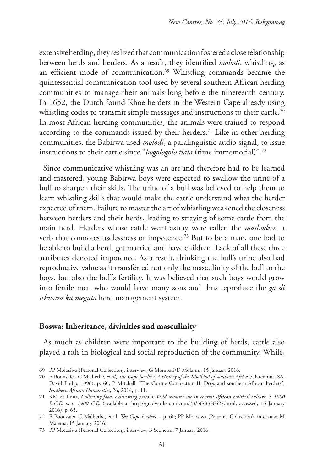extensive herding, they realized that communication fostered a close relationship between herds and herders. As a result, they identified *molodi*, whistling, as an efficient mode of communication.<sup>69</sup> Whistling commands became the quintessential communication tool used by several southern African herding communities to manage their animals long before the nineteenth century. In 1652, the Dutch found Khoe herders in the Western Cape already using whistling codes to transmit simple messages and instructions to their cattle.<sup>70</sup> In most African herding communities, the animals were trained to respond according to the commands issued by their herders.<sup>71</sup> Like in other herding communities, the Babirwa used *molodi*, a paralinguistic audio signal, to issue instructions to their cattle since "*bogologolo tlala* (time immemorial)".72

Since communicative whistling was an art and therefore had to be learned and mastered, young Babirwa boys were expected to swallow the urine of a bull to sharpen their skills. The urine of a bull was believed to help them to learn whistling skills that would make the cattle understand what the herder expected of them. Failure to master the art of whistling weakened the closeness between herders and their herds, leading to straying of some cattle from the main herd. Herders whose cattle went astray were called the *mashodwe*, a verb that connotes uselessness or impotence.73 But to be a man, one had to be able to build a herd, get married and have children. Lack of all these three attributes denoted impotence. As a result, drinking the bull's urine also had reproductive value as it transferred not only the masculinity of the bull to the boys, but also the bull's fertility. It was believed that such boys would grow into fertile men who would have many sons and thus reproduce the *go di tshwara ka megata* herd management system.

#### **Boswa: Inheritance, divinities and masculinity**

As much as children were important to the building of herds, cattle also played a role in biological and social reproduction of the community. While,

<sup>69</sup> PP Molosiwa (Personal Collection), interview, G Mompati/D Molamu, 15 January 2016.

<sup>70</sup> E Boonzaier, C Malherbe, *et al*, *The Cape herders: A History of the Khoikhoi of southern Africa* (Claremont, SA, David Philip, 1996), p. 60; P Mitchell, "The Canine Connection II: Dogs and southern African herders", *Southern African Humanities*, 26, 2014, p. 11.

<sup>71</sup> KM de Luna, *Collecting food, cultivating persons: Wild resource use in central African political culture, c. 1000 B.C.E. to c. 1900 C.E.* (available at http://gradworks.umi.com/33/36/3336527.html, accessed, 15 January 2016), p. 65.

<sup>72</sup> E Boonzaier, C Malherbe, et al, *The Cape herders*..., p. 60; PP Molosiwa (Personal Collection), interview, M Malema, 15 January 2016.

<sup>73</sup> PP Molosiwa (Personal Collection), interview, B Sephetso, 7 January 2016.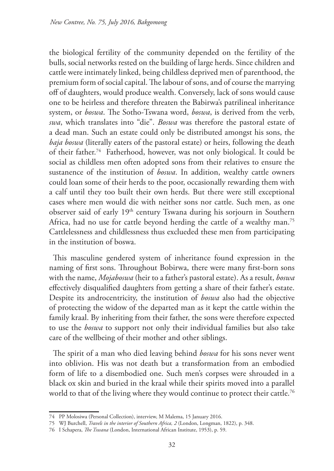the biological fertility of the community depended on the fertility of the bulls, social networks rested on the building of large herds. Since children and cattle were intimately linked, being childless deprived men of parenthood, the premium form of social capital. The labour of sons, and of course the marrying off of daughters, would produce wealth. Conversely, lack of sons would cause one to be heirless and therefore threaten the Babirwa's patrilineal inheritance system, or *boswa*. The Sotho-Tswana word, *boswa*, is derived from the verb, *swa*, which translates into "die". *Boswa* was therefore the pastoral estate of a dead man. Such an estate could only be distributed amongst his sons, the *baja boswa* (literally eaters of the pastoral estate) or heirs, following the death of their father.74 Fatherhood, however, was not only biological. It could be social as childless men often adopted sons from their relatives to ensure the sustanence of the institution of *boswa*. In addition, wealthy cattle owners could loan some of their herds to the poor, occasionally rewarding them with a calf until they too built their own herds. But there were still exceptional cases where men would die with neither sons nor cattle. Such men, as one observer said of early 19th century Tswana during his sorjourn in Southern Africa, had no use for cattle beyond herding the cattle of a wealthy man.<sup>75</sup> Cattlelessness and childlessness thus exclueded these men from participating in the institution of boswa.

This masculine gendered system of inheritance found expression in the naming of first sons. Throughout Bobirwa, there were many first-born sons with the name, *Mojaboswa* (heir to a father's pastoral estate). As a result, *boswa* effectively disqualified daughters from getting a share of their father's estate. Despite its androcentricity, the institution of *boswa* also had the objective of protecting the widow of the departed man as it kept the cattle within the family kraal. By inheriting from their father, the sons were therefore expected to use the *boswa* to support not only their individual families but also take care of the wellbeing of their mother and other siblings.

The spirit of a man who died leaving behind *boswa* for his sons never went into oblivion. His was not death but a transformation from an embodied form of life to a disembodied one. Such men's corpses were shrouded in a black ox skin and buried in the kraal while their spirits moved into a parallel world to that of the living where they would continue to protect their cattle.<sup>76</sup>

<sup>74</sup> PP Molosiwa (Personal Collection), interview, M Malema, 15 January 2016.

<sup>75</sup> WJ Burchell, *Travels in the interior of Southern Africa, 2* (London, Longman, 1822), p. 348.

<sup>76</sup> I Schapera, *The Tswana* (London, International African Institute, 1953), p. 59.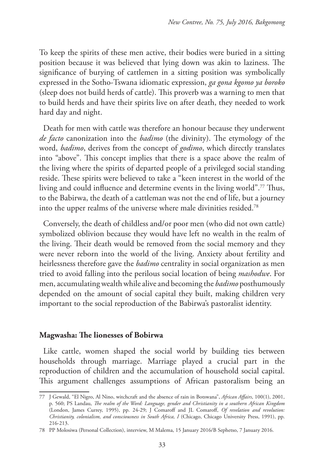To keep the spirits of these men active, their bodies were buried in a sitting position because it was believed that lying down was akin to laziness. The significance of burying of cattlemen in a sitting position was symbolically expressed in the Sotho-Tswana idiomatic expression, *ga gona kgomo ya boroko* (sleep does not build herds of cattle). This proverb was a warning to men that to build herds and have their spirits live on after death, they needed to work hard day and night.

Death for men with cattle was therefore an honour because they underwent *de facto* canonization into the *badimo* (the divinity). The etymology of the word, *badimo*, derives from the concept of *godimo*, which directly translates into "above". This concept implies that there is a space above the realm of the living where the spirits of departed people of a privileged social standing reside. These spirits were believed to take a "keen interest in the world of the living and could influence and determine events in the living world".77 Thus, to the Babirwa, the death of a cattleman was not the end of life, but a journey into the upper realms of the universe where male divinities resided.78

Conversely, the death of childless and/or poor men (who did not own cattle) symbolized oblivion because they would have left no wealth in the realm of the living. Their death would be removed from the social memory and they were never reborn into the world of the living. Anxiety about fertility and heirlessness therefore gave the *badimo* centrality in social organization as men tried to avoid falling into the perilous social location of being *mashodwe*. For men, accumulating wealth while alive and becoming the *badimo* posthumously depended on the amount of social capital they built, making children very important to the social reproduction of the Babirwa's pastoralist identity.

#### **Magwasha: The lionesses of Bobirwa**

Like cattle, women shaped the social world by building ties between households through marriage. Marriage played a crucial part in the reproduction of children and the accumulation of household social capital. This argument challenges assumptions of African pastoralism being an

<sup>77</sup> J Gewald, "El Nigro, Al Nino, witchcraft and the absence of rain in Botswana", *African Affairs*, 100(1), 2001, p. 560; PS Landau, *The realm of the Word: Language, gender and Christianity in a southern African Kingdom* (London, James Currey, 1995), pp. 24-29; J Comaroff and JL Comaroff, *Of revelation and revolution: Christianity, colonialism, and consciousness in South Africa, I* (Chicago, Chicago University Press, 1991), pp. 216-213.

<sup>78</sup> PP Molosiwa (Personal Collection), interview, M Malema, 15 January 2016/B Sephetso, 7 January 2016.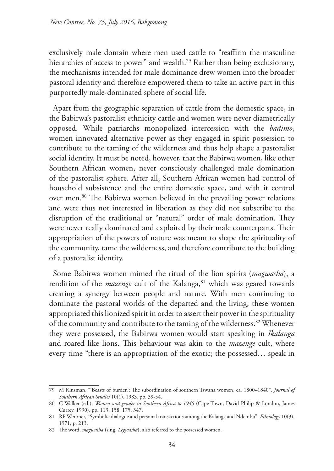exclusively male domain where men used cattle to "reaffirm the masculine hierarchies of access to power" and wealth.<sup>79</sup> Rather than being exclusionary, the mechanisms intended for male dominance drew women into the broader pastoral identity and therefore empowered them to take an active part in this purportedly male-dominated sphere of social life.

Apart from the geographic separation of cattle from the domestic space, in the Babirwa's pastoralist ethnicity cattle and women were never diametrically opposed. While patriarchs monopolized intercession with the *badimo*, women innovated alternative power as they engaged in spirit possession to contribute to the taming of the wilderness and thus help shape a pastoralist social identity. It must be noted, however, that the Babirwa women, like other Southern African women, never consciously challenged male domination of the pastoralist sphere. After all, Southern African women had control of household subsistence and the entire domestic space, and with it control over men.80 The Babirwa women believed in the prevailing power relations and were thus not interested in liberation as they did not subscribe to the disruption of the traditional or "natural" order of male domination. They were never really dominated and exploited by their male counterparts. Their appropriation of the powers of nature was meant to shape the spirituality of the community, tame the wilderness, and therefore contribute to the building of a pastoralist identity.

Some Babirwa women mimed the ritual of the lion spirits (*magwasha*), a rendition of the *mazenge* cult of the Kalanga,<sup>81</sup> which was geared towards creating a synergy between people and nature. With men continuing to dominate the pastoral worlds of the departed and the living, these women appropriated this lionized spirit in order to assert their power in the spirituality of the community and contribute to the taming of the wilderness.<sup>82</sup> Whenever they were possessed, the Babirwa women would start speaking in *Ikalanga* and roared like lions. This behaviour was akin to the *mazenge* cult, where every time "there is an appropriation of the exotic; the possessed… speak in

<sup>79</sup> M Kinsman, "'Beasts of burden': The subordination of southern Tswana women, ca. 1800–1840", *Journal of Southern African Studies* 10(1), 1983, pp. 39-54.

<sup>80</sup> C Walker (ed.), *Women and gender in Southern Africa to 1945* (Cape Town, David Philip & London, James Currey, 1990), pp. 113, 158, 175, 347.

<sup>81</sup> RP Werbner, "Symbolic dialogue and personal transactions among the Kalanga and Ndembu", *Ethnology* 10(3), 1971, p. 213.

<sup>82</sup> The word, *magwasha* (sing. *Legwasha*), also referred to the possessed women.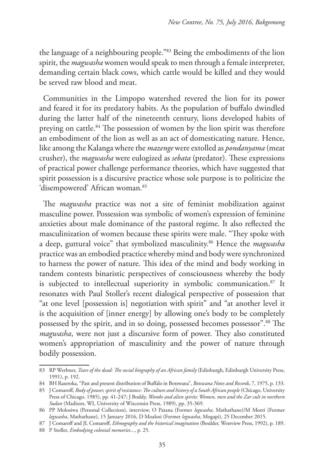the language of a neighbouring people."83 Being the embodiments of the lion spirit, the *magwasha* women would speak to men through a female interpreter, demanding certain black cows, which cattle would be killed and they would be served raw blood and meat.

Communities in the Limpopo watershed revered the lion for its power and feared it for its predatory habits. As the population of buffalo dwindled during the latter half of the nineteenth century, lions developed habits of preying on cattle.84 The possession of women by the lion spirit was therefore an embodiment of the lion as well as an act of domesticating nature. Hence, like among the Kalanga where the *mazenge* were extolled as *pondanyama* (meat crusher), the *magwasha* were eulogized as *sebata* (predator). These expressions of practical power challenge performance theories, which have suggested that spirit possession is a discursive practice whose sole purpose is to politicize the 'disempowered' African woman.<sup>85</sup>

The *magwasha* practice was not a site of feminist mobilization against masculine power. Possession was symbolic of women's expression of feminine anxieties about male dominance of the pastoral regime. It also reflected the masculinization of women because these spirits were male. "They spoke with a deep, guttural voice" that symbolized masculinity.86 Hence the *magwasha* practice was an embodied practice whereby mind and body were synchronized to harness the power of nature. This idea of the mind and body working in tandem contests binaristic perspectives of consciousness whereby the body is subjected to intellectual superiority in symbolic communication.<sup>87</sup> It resonates with Paul Stoller's recent dialogical perspective of possession that "at one level [possession is] negotiation with spirit" and "at another level it is the acquisition of [inner energy] by allowing one's body to be completely possessed by the spirit, and in so doing, possessed becomes possessor".88 The *magwasha*, were not just a discursive form of power. They also constituted women's appropriation of masculinity and the power of nature through bodily possession.

<sup>83</sup> RP Werbner, *Tears of the dead: The social biography of an African family* (Edinburgh, Edinburgh University Press, 1991), p. 192.

<sup>84</sup> BH Raseroka, "Past and present distribution of Buffalo in Botswana", *Botswana Notes and Records*, 7, 1975, p. 133.

<sup>85</sup> J Comaroff, *Body of power, spirit of resistance: The culture and history of a South African people* (Chicago, University Press of Chicago, 1985), pp. 41-247; J Boddy, *Wombs and alien spirits: Women, men and the Zar cult in northern Sudan* (Madison, WI, University of Wisconsin Press, 1989), pp. 35-369.

<sup>86</sup> PP Molosiwa (Personal Collection), interview, O Patana (Former *legwasha*, Mathathane)/M Moeti (Former *legwasha*, Mathathane), 15 January 2016, D Moalosi (Former *legwasha*, Mogapi), 25 December 2015.

<sup>87</sup> J Comaroff and JL Comaroff, *Ethnography and the historical imagination* (Boulder, Westview Press, 1992), p. 189.

<sup>88</sup> P Stoller, *Embodying colonial memories...*, p. 25.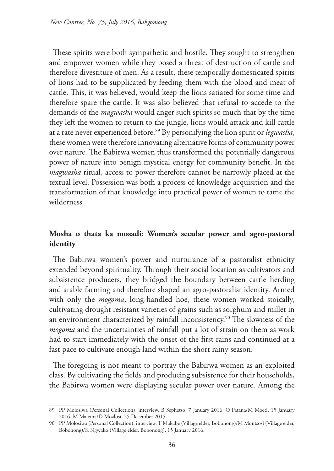These spirits were both sympathetic and hostile. They sought to strengthen and empower women while they posed a threat of destruction of cattle and therefore divestiture of men. As a result, these temporally domesticated spirits of lions had to be supplicated by feeding them with the blood and meat of cattle. This, it was believed, would keep the lions satiated for some time and therefore spare the cattle. It was also believed that refusal to accede to the demands of the *magwasha* would anger such spirits so much that by the time they left the women to return to the jungle, lions would attack and kill cattle at a rate never experienced before.89 By personifying the lion spirit or *legwasha*, these women were therefore innovating alternative forms of community power over nature. The Babirwa women thus transformed the potentially dangerous power of nature into benign mystical energy for community benefit. In the *magwasha* ritual, access to power therefore cannot be narrowly placed at the textual level. Possession was both a process of knowledge acquisition and the transformation of that knowledge into practical power of women to tame the wilderness.

## **Mosha o thata ka mosadi: Women's secular power and agro-pastoral identity**

The Babirwa women's power and nurturance of a pastoralist ethnicity extended beyond spirituality. Through their social location as cultivators and subsistence producers, they bridged the boundary between cattle herding and arable farming and therefore shaped an agro-pastoralist identity. Armed with only the *mogoma*, long-handled hoe, these women worked stoically, cultivating drought resistant varieties of grains such as sorghum and millet in an environment characterized by rainfall inconsistency.<sup>90</sup> The slowness of the *mogoma* and the uncertainties of rainfall put a lot of strain on them as work had to start immediately with the onset of the first rains and continued at a fast pace to cultivate enough land within the short rainy season.

The foregoing is not meant to portray the Babirwa women as an exploited class. By cultivating the fields and producing subsistence for their households, the Babirwa women were displaying secular power over nature. Among the

<sup>89</sup> PP Molosiwa (Personal Collection), interview, B Sephetso, 7 January 2016, O Patana/M Moeti, 15 January 2016, M Malema/D Moalosi, 25 December 2015.

<sup>90</sup> PP Molosiwa (Personal Collection), interview, T Makabe (Village elder, Bobonong)/M Montsosi (Village elder, Bobonong)/K Ngwako (Village elder, Bobonong), 15 January 2016.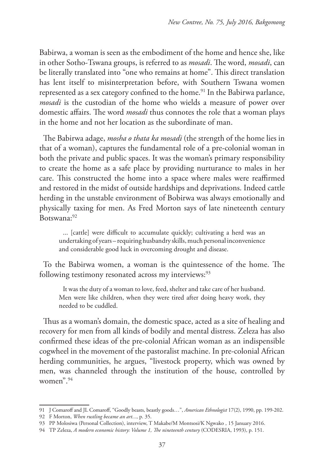Babirwa, a woman is seen as the embodiment of the home and hence she, like in other Sotho-Tswana groups, is referred to as *mosadi*. The word, *mosadi*, can be literally translated into "one who remains at home". This direct translation has lent itself to misinterpretation before, with Southern Tswana women represented as a sex category confined to the home.<sup>91</sup> In the Babirwa parlance, *mosadi* is the custodian of the home who wields a measure of power over domestic affairs. The word *mosadi* thus connotes the role that a woman plays in the home and not her location as the subordinate of man.

The Babirwa adage, *mosha o thata ka mosadi* (the strength of the home lies in that of a woman), captures the fundamental role of a pre-colonial woman in both the private and public spaces. It was the woman's primary responsibility to create the home as a safe place by providing nurturance to males in her care. This constructed the home into a space where males were reaffirmed and restored in the midst of outside hardships and deprivations. Indeed cattle herding in the unstable environment of Bobirwa was always emotionally and physically taxing for men. As Fred Morton says of late nineteenth century Botswana:92

... [cattle] were difficult to accumulate quickly; cultivating a herd was an undertaking of years – requiring husbandry skills, much personal inconvenience and considerable good luck in overcoming drought and disease.

To the Babirwa women, a woman is the quintessence of the home. The following testimony resonated across my interviews:<sup>93</sup>

It was the duty of a woman to love, feed, shelter and take care of her husband. Men were like children, when they were tired after doing heavy work, they needed to be cuddled.

Thus as a woman's domain, the domestic space, acted as a site of healing and recovery for men from all kinds of bodily and mental distress. Zeleza has also confirmed these ideas of the pre-colonial African woman as an indispensible cogwheel in the movement of the pastoralist machine. In pre-colonial African herding communities, he argues, "livestock property, which was owned by men, was channeled through the institution of the house, controlled by women".94

<sup>91</sup> J Comaroff and JL Comaroff, "Goodly beasts, beastly goods…", *American Ethnologist* 17(2), 1990, pp. 199-202.

<sup>92</sup> F Morton, *When rustling became an art...*, p. 35.

<sup>93</sup> PP Molosiwa (Personal Collection), interview, T Makabe/M Montsosi/K Ngwako , 15 January 2016.

<sup>94</sup> TP Zeleza, *A modern economic history: Volume 1, The nineteenth century* (CODESRIA, 1993), p. 151.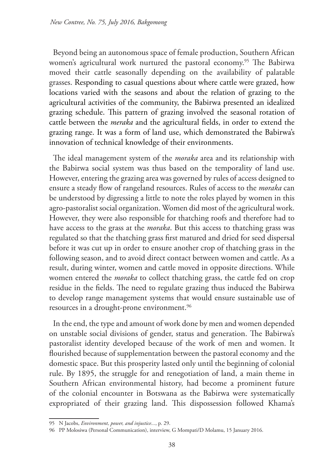Beyond being an autonomous space of female production, Southern African women's agricultural work nurtured the pastoral economy.<sup>95</sup> The Babirwa moved their cattle seasonally depending on the availability of palatable grasses. Responding to casual questions about where cattle were grazed, how locations varied with the seasons and about the relation of grazing to the agricultural activities of the community, the Babirwa presented an idealized grazing schedule. This pattern of grazing involved the seasonal rotation of cattle between the *meraka* and the agricultural fields, in order to extend the grazing range. It was a form of land use, which demonstrated the Babirwa's innovation of technical knowledge of their environments.

The ideal management system of the *moraka* area and its relationship with the Babirwa social system was thus based on the temporality of land use. However, entering the grazing area was governed by rules of access designed to ensure a steady flow of rangeland resources. Rules of access to the *moraka* can be understood by digressing a little to note the roles played by women in this agro-pastoralist social organization. Women did most of the agricultural work. However, they were also responsible for thatching roofs and therefore had to have access to the grass at the *moraka*. But this access to thatching grass was regulated so that the thatching grass first matured and dried for seed dispersal before it was cut up in order to ensure another crop of thatching grass in the following season, and to avoid direct contact between women and cattle. As a result, during winter, women and cattle moved in opposite directions. While women entered the *moraka* to collect thatching grass, the cattle fed on crop residue in the fields. The need to regulate grazing thus induced the Babirwa to develop range management systems that would ensure sustainable use of resources in a drought-prone environment.<sup>96</sup>

In the end, the type and amount of work done by men and women depended on unstable social divisions of gender, status and generation. The Babirwa's pastoralist identity developed because of the work of men and women. It flourished because of supplementation between the pastoral economy and the domestic space. But this prosperity lasted only until the beginning of colonial rule. By 1895, the struggle for and renegotiation of land, a main theme in Southern African environmental history, had become a prominent future of the colonial encounter in Botswana as the Babirwa were systematically expropriated of their grazing land. This dispossession followed Khama's

<sup>95</sup> N Jacobs, *Environment, power, and injustice...*, p. 29.

<sup>96</sup> PP Molosiwa (Personal Communication), interview, G Mompati/D Molamu, 15 January 2016.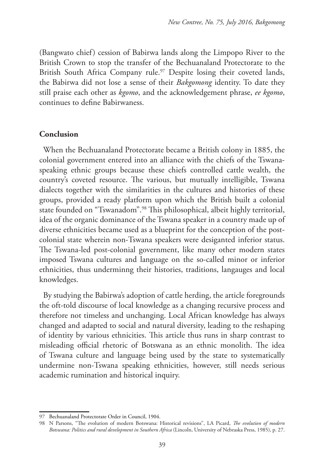(Bangwato chief) cession of Babirwa lands along the Limpopo River to the British Crown to stop the transfer of the Bechuanaland Protectorate to the British South Africa Company rule.<sup>97</sup> Despite losing their coveted lands, the Babirwa did not lose a sense of their *Bakgomong* identity. To date they still praise each other as *kgomo*, and the acknowledgement phrase, *ee kgomo*, continues to define Babirwaness.

### **Conclusion**

When the Bechuanaland Protectorate became a British colony in 1885, the colonial government entered into an alliance with the chiefs of the Tswanaspeaking ethnic groups because these chiefs controlled cattle wealth, the country's coveted resource. The various, but mutually intelligible, Tswana dialects together with the similarities in the cultures and histories of these groups, provided a ready platform upon which the British built a colonial state founded on "Tswanadom".98 This philosophical, albeit highly territorial, idea of the organic dominance of the Tswana speaker in a country made up of diverse ethnicities became used as a blueprint for the conception of the postcolonial state wherein non-Tswana speakers were desiganted inferior status. The Tswana-led post-colonial government, like many other modern states imposed Tswana cultures and language on the so-called minor or inferior ethnicities, thus underminng their histories, traditions, langauges and local knowledges.

By studying the Babirwa's adoption of cattle herding, the article foregrounds the oft-told discourse of local knowledge as a changing recursive process and therefore not timeless and unchanging. Local African knowledge has always changed and adapted to social and natural diversity, leading to the reshaping of identity by various ethnicities. This article thus runs in sharp contrast to misleading official rhetoric of Botswana as an ethnic monolith. The idea of Tswana culture and language being used by the state to systematically undermine non-Tswana speaking ethnicities, however, still needs serious academic rumination and historical inquiry.

<sup>97</sup> Bechuanaland Protectorate Order in Council, 1904.

<sup>98</sup> N Parsons, "The evolution of modern Botswana: Historical revisions", LA Picard, *The evolution of modern Botswana: Politics and rural development in Southern Africa* (Lincoln, University of Nebraska Press, 1985), p. 27.